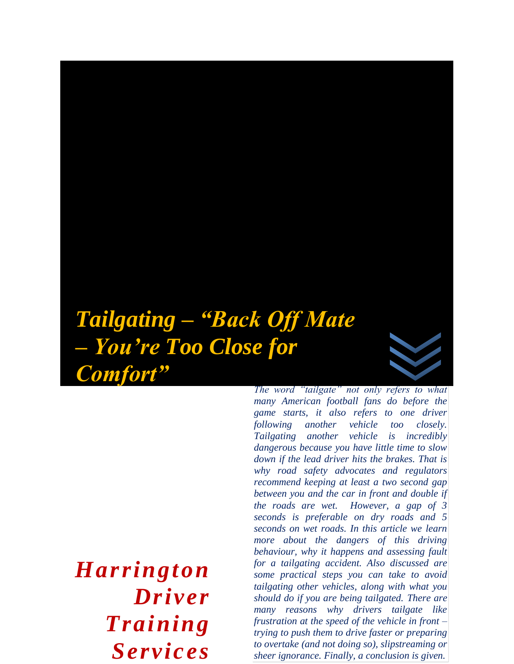# *Tailgating – "Back Off Mate – You're Too Close for Comfort"*

*Harrington Driver Training Services*

*The word "tailgate" not only refers to what many American football fans do before the game starts, it also refers to one driver following another vehicle too closely. Tailgating another vehicle is incredibly dangerous because you have little time to slow down if the lead driver hits the brakes. That is why road safety advocates and regulators recommend keeping at least a two second gap between you and the car in front and double if the roads are wet. However, a gap of 3 seconds is preferable on dry roads and 5 seconds on wet roads. In this article we learn more about the dangers of this driving behaviour, why it happens and assessing fault for a tailgating accident. Also discussed are some practical steps you can take to avoid tailgating other vehicles, along with what you should do if you are being tailgated. There are many reasons why drivers tailgate like frustration at the speed of the vehicle in front – trying to push them to drive faster or preparing to overtake (and not doing so), slipstreaming or sheer ignorance. Finally, a conclusion is given.*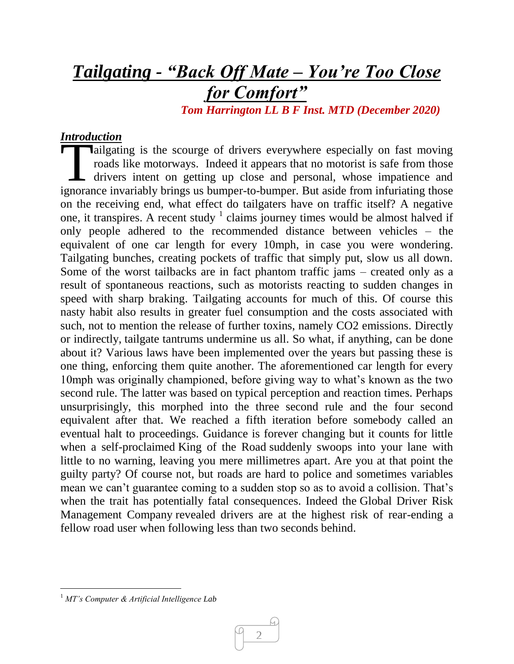# *Tailgating - "Back Off Mate – You're Too Close for Comfort"*

 *Tom Harrington LL B F Inst. MTD (December 2020)*

#### *Introduction*

ailgating is the scourge of drivers everywhere especially on fast moving roads like motorways. Indeed it appears that no motorist is safe from those drivers intent on getting up close and personal, whose impatience and Tailgating is the scourge of drivers everywhere especially on fast moving<br>roads like motorways. Indeed it appears that no motorist is safe from those<br>drivers intent on getting up close and personal, whose impatience and<br>ig on the receiving end, what effect do tailgaters have on traffic itself? A negative one, it transpires. A recent study  $\frac{1}{1}$  claims journey times would be almost halved if only people adhered to the recommended distance between vehicles – the equivalent of one car length for every 10mph, in case you were wondering. Tailgating bunches, creating pockets of traffic that simply put, slow us all down. Some of the worst tailbacks are in fact phantom traffic jams – created only as a result of spontaneous reactions, such as motorists reacting to sudden changes in speed with sharp braking. Tailgating accounts for much of this. Of course this nasty habit also results in greater fuel consumption and the costs associated with such, not to mention the release of further toxins, namely CO2 emissions. Directly or indirectly, tailgate tantrums undermine us all. So what, if anything, can be done about it? Various laws have been implemented over the years but passing these is one thing, enforcing them quite another. The aforementioned car length for every 10mph was originally championed, before giving way to what's known as the two second rule. The latter was based on typical perception and reaction times. Perhaps unsurprisingly, this morphed into the three second rule and the four second equivalent after that. We reached a fifth iteration before somebody called an eventual halt to proceedings. Guidance is forever changing but it counts for little when a self-proclaimed King of the Road suddenly swoops into your lane with little to no warning, leaving you mere millimetres apart. Are you at that point the guilty party? Of course not, but roads are hard to police and sometimes variables mean we can't guarantee coming to a sudden stop so as to avoid a collision. That's when the trait has potentially fatal consequences. Indeed the Global Driver Risk Management Company revealed drivers are at the highest risk of rear-ending a fellow road user when following less than two seconds behind.

 $\overline{a}$ 



<sup>1</sup> *MT's Computer & Artificial Intelligence Lab*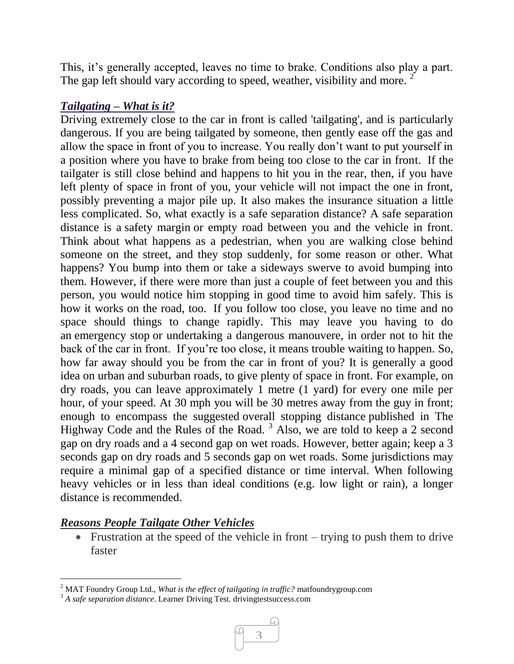This, it's generally accepted, leaves no time to brake. Conditions also play a part. The gap left should vary according to speed, weather, visibility and more.

# *Tailgating – What is it?*

Driving extremely close to the car in front is called 'tailgating', and is particularly dangerous. If you are being tailgated by someone, then gently ease off the gas and allow the space in front of you to increase. You really don't want to put yourself in a position where you have to brake from being too close to the car in front. If the tailgater is still close behind and happens to hit you in the rear, then, if you have left plenty of space in front of you, your vehicle will not impact the one in front, possibly preventing a major pile up. It also makes the insurance situation a little less complicated. So, what exactly is a safe separation distance? A safe separation distance is a safety margin or empty road between you and the vehicle in front. Think about what happens as a pedestrian, when you are walking close behind someone on the street, and they stop suddenly, for some reason or other. What happens? You bump into them or take a sideways swerve to avoid bumping into them. However, if there were more than just a couple of feet between you and this person, you would notice him stopping in good time to avoid him safely. This is how it works on the road, too. If you follow too close, you leave no time and no space should things to change rapidly. This may leave you having to do an [emergency stop](https://www.drivingtestsuccess.com/blog/how-safely-complete-emergency-stop) or undertaking a dangerous manouvere, in order not to hit the back of the car in front. If you're too close, it means trouble waiting to happen. So, how far away should you be from the car in front of you? It is generally a good idea on urban and suburban roads, to give plenty of space in front. For example, on dry roads, you can leave approximately 1 metre (1 yard) for every one mile per hour, of your speed. At 30 mph you will be 30 metres away from the guy in front; enough to encompass the suggested [overall stopping distance](https://www.drivingtestsuccess.com/blog/stopping-distances-and-theory-test) published in The Highway Code and the Rules of the Road.<sup>3</sup> Also, we are told to keep a 2 second gap on dry roads and a 4 second gap on wet roads. However, better again; keep a 3 seconds gap on dry roads and 5 seconds gap on wet roads. Some jurisdictions may require a minimal gap of a specified distance or time interval. When following heavy vehicles or in less than ideal conditions (e.g. low light or rain), a longer distance is recommended.

# *Reasons People Tailgate Other Vehicles*

l

Frustration at the speed of the vehicle in front – trying to push them to drive faster

<sup>&</sup>lt;sup>3</sup> A safe separation distance. Learner Driving Test. drivingtestsuccess.com



<sup>2</sup> MAT Foundry Group Ltd., *What is the effect of tailgating in traffic?* matfoundrygroup.com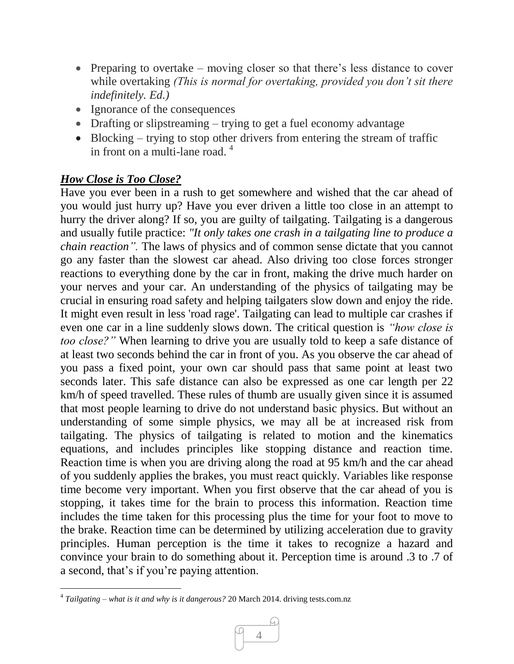- Preparing to overtake moving closer so that there's less distance to cover while overtaking *(This is normal for overtaking, provided you don't sit there indefinitely. Ed.)*
- Ignorance of the consequences
- Drafting or slipstreaming trying to get a fuel economy advantage
- Blocking trying to stop other drivers from entering the stream of traffic in front on a multi-lane road. <sup>4</sup>

# *How Close is Too Close?*

Have you ever been in a rush to get somewhere and wished that the car ahead of you would just hurry up? Have you ever driven a little too close in an attempt to hurry the driver along? If so, you are guilty of tailgating. Tailgating is a dangerous and usually futile practice: *"It only takes one crash in a tailgating line to produce a chain reaction".* The laws of physics and of common sense dictate that you cannot go any faster than the slowest car ahead. Also driving too close forces stronger reactions to everything done by the car in front, making the drive much harder on your nerves and your car. An understanding of the physics of tailgating may be crucial in ensuring road safety and helping tailgaters slow down and enjoy the ride. It might even result in less 'road rage'. Tailgating can lead to multiple car crashes if even one car in a line suddenly slows down. The critical question is *"how close is too close?"* When learning to drive you are usually told to keep a safe distance of at least two seconds behind the car in front of you. As you observe the car ahead of you pass a fixed point, your own car should pass that same point at least two seconds later. This safe distance can also be expressed as one car length per 22 km/h of speed travelled. These rules of thumb are usually given since it is assumed that most people learning to drive do not understand basic physics. But without an understanding of some simple physics, we may all be at increased risk from tailgating. The physics of tailgating is related to motion and the kinematics equations, and includes principles like stopping distance and reaction time. Reaction time is when you are driving along the road at 95 km/h and the car ahead of you suddenly applies the brakes, you must react quickly. Variables like response time become very important. When you first observe that the car ahead of you is stopping, it takes time for the brain to process this information. Reaction time includes the time taken for this processing plus the time for your foot to move to the brake. Reaction time can be determined by utilizing acceleration due to gravity principles. Human perception is the time it takes to recognize a hazard and convince your brain to do something about it. Perception time is around .3 to .7 of a second, that's if you're paying attention.

 4 *Tailgating – what is it and why is it dangerous?* 20 March 2014. driving tests.com.nz

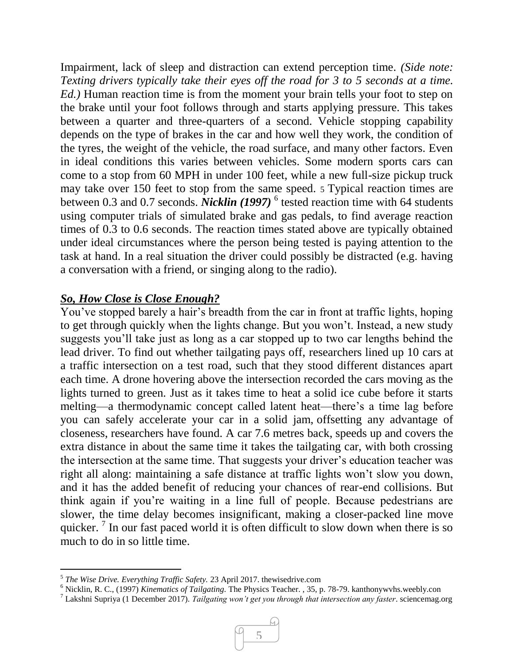Impairment, lack of sleep and distraction can extend perception time. *(Side note: Texting drivers typically take their eyes off the road for 3 to 5 seconds at a time. Ed.)* Human reaction time is from the moment your brain tells your foot to step on the brake until your foot follows through and starts applying pressure. This takes between a quarter and three-quarters of a second. Vehicle stopping capability depends on the type of brakes in the car and how well they work, the condition of the tyres, the weight of the vehicle, the road surface, and many other factors. Even in ideal conditions this varies between vehicles. Some modern sports cars can come to a stop from 60 MPH in under 100 feet, while a new full-size pickup truck may take over 150 feet to stop from the same speed. 5 Typical reaction times are between 0.3 and 0.7 seconds. *Nicklin* (1997)<sup>6</sup> tested reaction time with 64 students using computer trials of simulated brake and gas pedals, to find average reaction times of 0.3 to 0.6 seconds. The reaction times stated above are typically obtained under ideal circumstances where the person being tested is paying attention to the task at hand. In a real situation the driver could possibly be distracted (e.g. having a conversation with a friend, or singing along to the radio).

# *So, How Close is Close Enough?*

You've stopped barely a hair's breadth from the car in front at traffic lights, hoping to get through quickly when the lights change. But you won't. Instead, a new study suggests you'll take just as long as a car stopped up to two car lengths behind the lead driver. To find out whether tailgating pays off, researchers lined up 10 cars at a traffic intersection on a test road, such that they stood different distances apart each time. A drone hovering above the intersection recorded the cars moving as the lights turned to green. Just as it takes time to heat a solid ice cube before it starts melting—a thermodynamic concept called latent heat—there's a time lag before you can safely accelerate your car in a solid jam, [offsetting any advantage of](http://iopscience.iop.org/article/10.1088/1367-2630/aa95f0/meta)  [closeness,](http://iopscience.iop.org/article/10.1088/1367-2630/aa95f0/meta) researchers have found. A car 7.6 metres back, speeds up and covers the extra distance in about the same time it takes the tailgating car, with both crossing the intersection at the same time. That suggests your driver's education teacher was right all along: maintaining a safe distance at traffic lights won't slow you down, and it has the added benefit of reducing your chances of rear-end collisions. But think again if you're waiting in a line full of people. Because pedestrians are slower, the time delay becomes insignificant, making a closer-packed line move quicker.<sup>7</sup> In our fast paced world it is often difficult to slow down when there is so much to do in so little time.

 $\overline{a}$ 

<sup>7</sup> Lakshni Supriya (1 December 2017). *Tailgating won't get you through that intersection any faster*. sciencemag.org



<sup>5</sup> *The Wise Drive. Everything Traffic Safety.* 23 April 2017. thewisedrive.com

<sup>6</sup> Nicklin, R. C., (1997) *Kinematics of Tailgating.* The Physics Teacher. , 35, p. 78-79. kanthonywvhs.weebly.con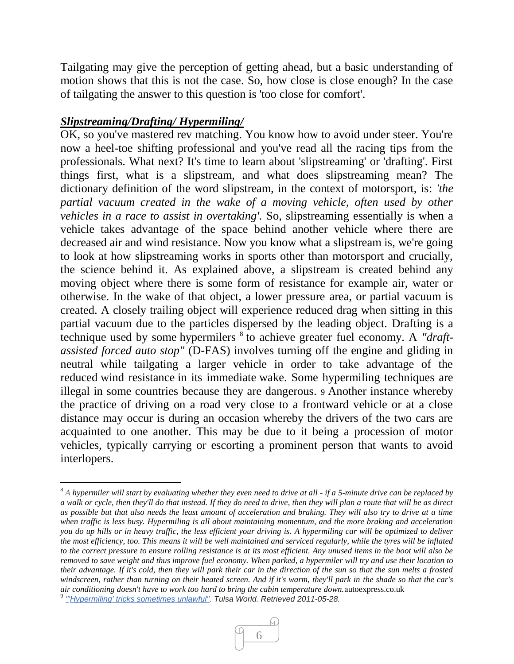Tailgating may give the perception of getting ahead, but a basic understanding of motion shows that this is not the case. So, how close is close enough? In the case of tailgating the answer to this question is 'too close for comfort'.

# *Slipstreaming/Drafting/ Hypermiling/*

 $\overline{a}$ 

OK, so you've mastered rev matching. You know how to avoid under steer. You're now a heel-toe shifting professional and you've read all the racing tips from the professionals. What next? It's time to learn about 'slipstreaming' or 'drafting'. First things first, what is a slipstream, and what does slipstreaming mean? The dictionary definition of the word slipstream, in the context of motorsport, is: *'the partial vacuum created in the wake of a moving vehicle, often used by other vehicles in a race to assist in overtaking'.* So, slipstreaming essentially is when a vehicle takes advantage of the space behind another vehicle where there are decreased air and wind resistance. Now you know what a slipstream is, we're going to look at how slipstreaming works in sports other than motorsport and crucially, the science behind it. As explained above, a slipstream is created behind any moving object where there is some form of resistance for example air, water or otherwise. In the wake of that object, a lower pressure area, or partial vacuum is created. A closely trailing object will experience reduced drag when sitting in this partial vacuum due to the particles dispersed by the leading object. Drafting is a technique used by some [hypermilers](https://en.wikipedia.org/wiki/Hypermiling) <sup>8</sup> to achieve greater fuel economy. A "draft*assisted forced auto stop"* (D-FAS) involves turning off the engine and gliding in neutral while tailgating a larger vehicle in order to take advantage of the reduced [wind resistance](https://en.wikipedia.org/wiki/Drag_(physics)) in its immediate [wake.](https://en.wikipedia.org/wiki/Wake) Some hypermiling techniques are illegal in some countries because they are dangerous. 9 Another instance whereby the practice of driving on a road very close to a frontward vehicle or at a close distance may occur is during an occasion whereby the drivers of the two cars are acquainted to one another. This may be due to it being a procession of motor vehicles, typically carrying or escorting a prominent person that wants to avoid interlopers.

<sup>8</sup> *A hypermiler will start by evaluating whether they even need to drive at all - if a 5-minute drive can be replaced by a walk or cycle, then they'll do that instead. If they do need to drive, then they will plan a route that will be as direct as possible but that also needs the least amount of acceleration and braking. They will also try to drive at a time when traffic is less busy. Hypermiling is all about maintaining momentum, and the more braking and acceleration you do up hills or in heavy traffic, the less efficient your driving is. A hypermiling car will be optimized to deliver the most efficiency, too. This means it will be well maintained and [serviced](https://www.autoexpress.co.uk/car-news/consumer-news/92492/how-to-cut-your-car-service-costs-cheaper-servicing-mots-and-repairs) regularly, while the [tyres](https://www.autoexpress.co.uk/accessories-tyres/91856/tyre-reviews-best-car-tyres) will be inflated to the correct pressure to ensure rolling resistance is at its most efficient. Any unused items in the boot will also be removed to save weight and thus improve fuel economy. When parked, a hypermiler will try and use their location to their advantage. If it's cold, then they will park their car in the direction of the sun so that the sun melts a frosted windscreen, rather than turning on their heated screen. And if it's warm, they'll park in the shade so that the car's air conditioning doesn't have to work too hard to bring the cabin temperature down.*autoexpress.co.uk 9 *["'Hypermiling' tricks sometimes unlawful".](http://www.tulsaworld.com/news/article.aspx?subjectID=15&articleID=20080717_15_E3_spa462136) Tulsa World. Retrieved 2011-05-28.*

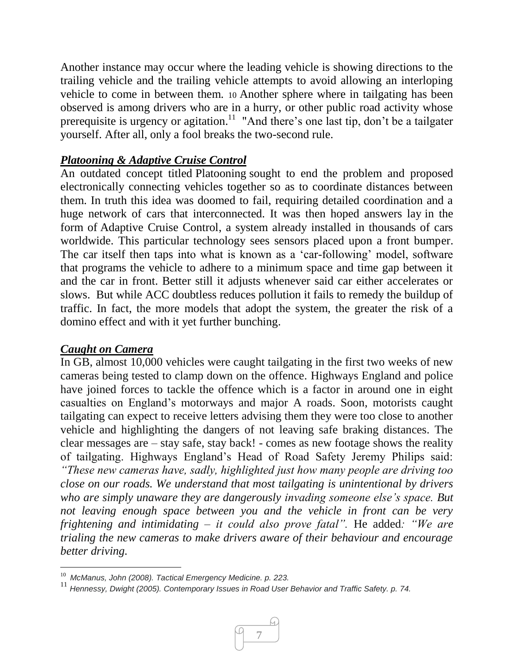Another instance may occur where the leading vehicle is showing directions to the trailing vehicle and the trailing vehicle attempts to avoid allowing an interloping vehicle to come in between them. 10 Another sphere where in tailgating has been observed is among drivers who are in a hurry, or other public road activity whose prerequisite is urgency or [agitation.](https://en.wikipedia.org/wiki/Psychomotor_agitation)<sup>11</sup> "And there's one last tip, don't be a tailgater yourself. After all, only a fool breaks the two-second rule.

# *Platooning & Adaptive Cruise Control*

An outdated concept titled Platooning sought to end the problem and proposed electronically connecting vehicles together so as to coordinate distances between them. In truth this idea was doomed to fail, requiring detailed coordination and a huge network of cars that interconnected. It was then hoped answers lay in the form of Adaptive Cruise Control, a system already installed in thousands of cars worldwide. This particular technology sees sensors placed upon a front bumper. The car itself then taps into what is known as a 'car-following' model, software that programs the vehicle to adhere to a minimum space and time gap between it and the car in front. Better still it adjusts whenever said car either accelerates or slows. But while ACC doubtless reduces pollution it fails to remedy the buildup of traffic. In fact, the more models that adopt the system, the greater the risk of a domino effect and with it yet further bunching.

# *Caught on Camera*

In GB, almost 10,000 vehicles were caught tailgating in the first two weeks of new cameras being tested to clamp down on the offence. Highways England and police have joined forces to tackle the offence which is a factor in around one in eight casualties on England's motorways and major A roads. Soon, motorists caught tailgating can expect to receive letters advising them they were too close to another vehicle and highlighting the dangers of not leaving safe braking distances. The clear messages are – stay safe, stay back! - comes as new footage shows the reality of tailgating. Highways England's Head of Road Safety Jeremy Philips said: *"These new cameras have, sadly, highlighted just how many people are driving too close on our roads. We understand that most tailgating is unintentional by drivers who are simply unaware they are dangerously invading someone else's space. But not leaving enough space between you and the vehicle in front can be very frightening and intimidating – it could also prove fatal".* He added*: "We are trialing the new cameras to make drivers aware of their behaviour and encourage better driving.* 

l <sup>10</sup> *McManus, John (2008). Tactical Emergency Medicine. p. 223.*

<sup>11</sup> *Hennessy, Dwight (2005). Contemporary Issues in Road User Behavior and Traffic Safety. p. 74.*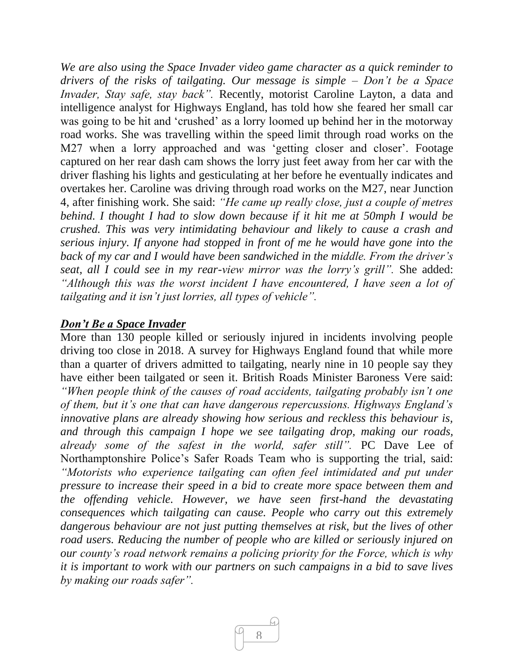*We are also using the Space Invader video game character as a quick reminder to drivers of the risks of tailgating. Our message is simple – Don't be a Space Invader, Stay safe, stay back".* Recently, motorist Caroline Layton, a data and intelligence analyst for Highways England, has told how she feared her small car was going to be hit and 'crushed' as a lorry loomed up behind her in the motorway road works. She was travelling within the speed limit through road works on the M27 when a lorry approached and was 'getting closer and closer'. Footage captured on her rear dash cam shows the lorry just feet away from her car with the driver flashing his lights and gesticulating at her before he eventually indicates and overtakes her. Caroline was driving through road works on the M27, near Junction 4, after finishing work. She said: *"He came up really close, just a couple of metres behind. I thought I had to slow down because if it hit me at 50mph I would be crushed. This was very intimidating behaviour and likely to cause a crash and serious injury. If anyone had stopped in front of me he would have gone into the back of my car and I would have been sandwiched in the middle. From the driver's seat, all I could see in my rear-view mirror was the lorry's grill".* She added: *Although this was the worst incident I have encountered, I have seen a lot of tailgating and it isn't just lorries, all types of vehicle".*

#### *Don't Be a Space Invader*

More than 130 people killed or seriously injured in incidents involving people driving too close in 2018. A survey for Highways England found that while more than a quarter of drivers admitted to tailgating, nearly nine in 10 people say they have either been tailgated or seen it. British Roads Minister Baroness Vere said: *"When people think of the causes of road accidents, tailgating probably isn't one of them, but it's one that can have dangerous repercussions. Highways England's innovative plans are already showing how serious and reckless this behaviour is, and through this campaign I hope we see tailgating drop, making our roads, already some of the safest in the world, safer still".* PC Dave Lee of Northamptonshire Police's Safer Roads Team who is supporting the trial, said: *"Motorists who experience tailgating can often feel intimidated and put under pressure to increase their speed in a bid to create more space between them and the offending vehicle. However, we have seen first-hand the devastating consequences which tailgating can cause. People who carry out this extremely dangerous behaviour are not just putting themselves at risk, but the lives of other road users. Reducing the number of people who are killed or seriously injured on our county's road network remains a policing priority for the Force, which is why it is important to work with our partners on such campaigns in a bid to save lives by making our roads safer".*

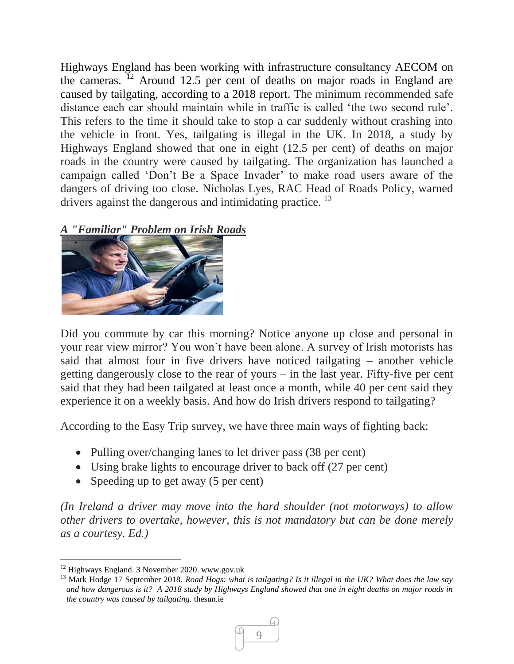Highways England has been working with infrastructure consultancy AECOM on the cameras. <sup>12</sup> Around 12.5 per cent of deaths on major roads in England are caused by tailgating, according to a 2018 report. The minimum recommended safe distance each car should maintain while in traffic is called 'the two second rule'. This refers to the time it should take to stop a car suddenly without crashing into the vehicle in front. Yes, tailgating is illegal in the UK. In 2018, a study by Highways England showed that one in eight (12.5 per cent) of deaths on major roads in the country were caused by tailgating. The organization has launched a campaign called 'Don't Be a Space Invader' to make road users aware of the dangers of driving too close. Nicholas Lyes, RAC Head of Roads Policy, warned drivers against the dangerous and intimidating practice.<sup>13</sup>

# *A "Familiar" Problem on Irish Roads*



Did you commute by car this morning? Notice anyone up close and personal in your rear view mirror? You won't have been alone. A survey of Irish motorists has said that almost four in five drivers have noticed tailgating – another vehicle getting dangerously close to the rear of yours – in the last year. Fifty-five per cent said that they had been tailgated at least once a month, while 40 per cent said they experience it on a weekly basis. And how do Irish drivers respond to tailgating?

According to the [Easy Trip](http://www.easytrip.ie/) survey, we have three main ways of fighting back:

- Pulling over/changing lanes to let driver pass (38 per cent)
- Using brake lights to encourage driver to back off (27 per cent)
- Speeding up to get away (5 per cent)

*(In Ireland a driver may move into the hard shoulder (not motorways) to allow other drivers to overtake, however, this is not mandatory but can be done merely as a courtesy. Ed.)*

<sup>13</sup> Mark Hodge 17 September 2018*. Road Hogs: what is tailgating? Is it illegal in the UK? What does the law say and how dangerous is it? A 2018 study by Highways England showed that one in eight deaths on major roads in the country was caused by tailgating.* thesun.ie



l <sup>12</sup> Highways England. 3 November 2020. www.gov.uk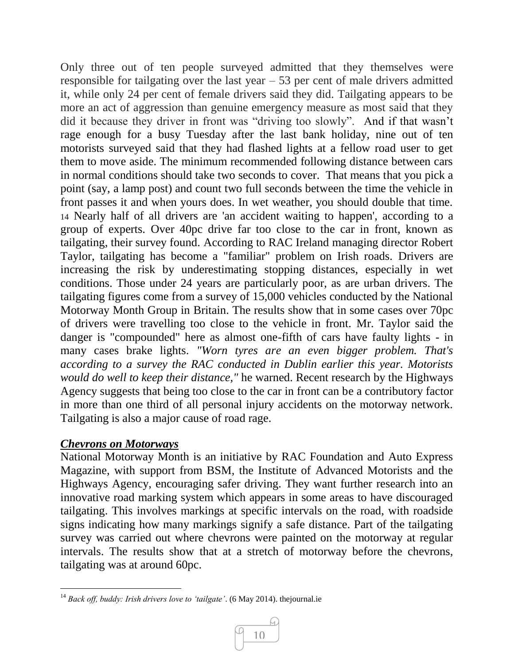Only three out of ten people surveyed admitted that they themselves were responsible for tailgating over the last year  $-53$  per cent of male drivers admitted it, while only 24 per cent of female drivers said they did. Tailgating appears to be more an act of aggression than genuine emergency measure as most said that they did it because they driver in front was "driving too slowly". And if that wasn't rage enough for a busy Tuesday after the last bank holiday, nine out of ten motorists surveyed said that they had flashed lights at a fellow road user to get them to move aside. The minimum recommended following distance between cars in normal conditions should take two seconds to cover. That means that you pick a point (say, a lamp post) and count two full seconds between the time the vehicle in front passes it and when yours does. In wet weather, you should double that time. 14 Nearly half of all drivers are 'an accident waiting to happen', according to a group of experts. Over 40pc drive far too close to the car in front, known as tailgating, their survey found. According to RAC Ireland managing director Robert Taylor, tailgating has become a "familiar" problem on Irish roads. Drivers are increasing the risk by underestimating stopping distances, especially in wet conditions. Those under 24 years are particularly poor, as are urban drivers. The tailgating figures come from a survey of 15,000 vehicles conducted by the National Motorway Month Group in Britain. The results show that in some cases over 70pc of drivers were travelling too close to the vehicle in front. Mr. Taylor said the danger is "compounded" here as almost one-fifth of cars have faulty lights - in many cases brake lights. *"Worn tyres are an even bigger problem. That's according to a survey the RAC conducted in Dublin earlier this year. Motorists would do well to keep their distance,"* he warned. Recent research by the Highways Agency suggests that being too close to the car in front can be a contributory factor in more than one third of all personal injury accidents on the motorway network. Tailgating is also a major cause of road rage.

# *Chevrons on Motorways*

National Motorway Month is an initiative by RAC Foundation and Auto Express Magazine, with support from BSM, the Institute of Advanced Motorists and the Highways Agency, encouraging safer driving. They want further research into an innovative road marking system which appears in some areas to have discouraged tailgating. This involves markings at specific intervals on the road, with roadside signs indicating how many markings signify a safe distance. Part of the tailgating survey was carried out where chevrons were painted on the motorway at regular intervals. The results show that at a stretch of motorway before the chevrons, tailgating was at around 60pc.

 $\overline{a}$ <sup>14</sup> *Back off, buddy: Irish drivers love to 'tailgate'*. (6 May 2014). thejournal.ie

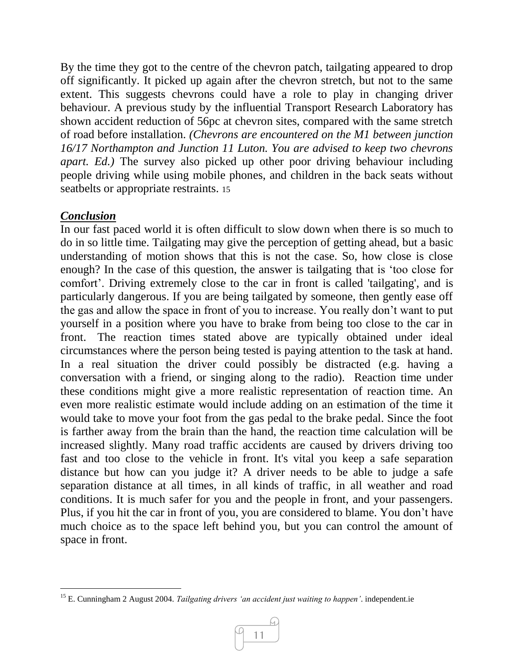By the time they got to the centre of the chevron patch, tailgating appeared to drop off significantly. It picked up again after the chevron stretch, but not to the same extent. This suggests chevrons could have a role to play in changing driver behaviour. A previous study by the influential Transport Research Laboratory has shown accident reduction of 56pc at chevron sites, compared with the same stretch of road before installation. *(Chevrons are encountered on the M1 between junction 16/17 Northampton and Junction 11 Luton. You are advised to keep two chevrons apart. Ed.)* The survey also picked up other poor driving behaviour including people driving while using mobile phones, and children in the back seats without seatbelts or appropriate restraints. 15

# *Conclusion*

In our fast paced world it is often difficult to slow down when there is so much to do in so little time. Tailgating may give the perception of getting ahead, but a basic understanding of motion shows that this is not the case. So, how close is close enough? In the case of this question, the answer is tailgating that is 'too close for comfort'. Driving extremely close to the car in front is called 'tailgating', and is particularly dangerous. If you are being tailgated by someone, then gently ease off the gas and allow the space in front of you to increase. You really don't want to put yourself in a position where you have to brake from being too close to the car in front. The reaction times stated above are typically obtained under ideal circumstances where the person being tested is paying attention to the task at hand. In a real situation the driver could possibly be distracted (e.g. having a conversation with a friend, or singing along to the radio). Reaction time under these conditions might give a more realistic representation of reaction time. An even more realistic estimate would include adding on an estimation of the time it would take to move your foot from the gas pedal to the brake pedal. Since the foot is farther away from the brain than the hand, the reaction time calculation will be increased slightly. Many road traffic accidents are caused by drivers driving too fast and too close to the vehicle in front. It's vital you keep a safe separation distance but how can you judge it? A driver needs to be able to judge a safe separation distance at all times, in all kinds of traffic, in all weather and road conditions. It is much safer for you and the people in front, and your passengers. Plus, if you hit the car in front of you, you are considered to blame. You don't have much choice as to the space left behind you, but you can control the amount of space in front.

 $\overline{a}$ <sup>15</sup> E. Cunningham 2 August 2004. *Tailgating drivers 'an accident just waiting to happen'*. independent.ie